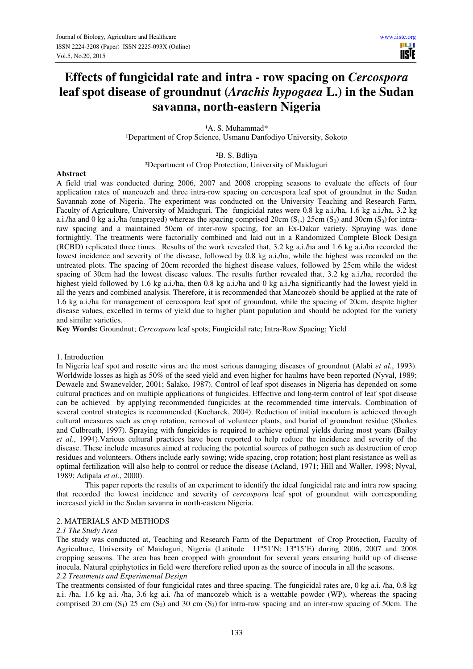III I **TISTE** 

# **Effects of fungicidal rate and intra - row spacing on** *Cercospora* **leaf spot disease of groundnut (***Arachis hypogaea* **L.) in the Sudan savanna, north-eastern Nigeria**

<sup>1</sup>A. S. Muhammad\* <sup>1</sup>Department of Crop Science, Usmanu Danfodiyo University, Sokoto

²B. S. Bdliya

²Department of Crop Protection, University of Maiduguri

## **Abstract**

A field trial was conducted during 2006, 2007 and 2008 cropping seasons to evaluate the effects of four application rates of mancozeb and three intra-row spacing on cercospora leaf spot of groundnut in the Sudan Savannah zone of Nigeria. The experiment was conducted on the University Teaching and Research Farm, Faculty of Agriculture, University of Maiduguri. The fungicidal rates were 0.8 kg a.i./ha, 1.6 kg a.i./ha, 3.2 kg a.i./ha and 0 kg a.i./ha (unsprayed) whereas the spacing comprised 20cm  $(S_1)$ , 25cm  $(S_2)$  and 30cm  $(S_3)$  for intraraw spacing and a maintained 50cm of inter-row spacing, for an Ex-Dakar variety. Spraying was done fortnightly. The treatments were factorially combined and laid out in a Randomized Complete Block Design (RCBD) replicated three times. Results of the work revealed that, 3.2 kg a.i./ha and 1.6 kg a.i./ha recorded the lowest incidence and severity of the disease, followed by 0.8 kg a.i./ha, while the highest was recorded on the untreated plots. The spacing of 20cm recorded the highest disease values, followed by 25cm while the widest spacing of 30cm had the lowest disease values. The results further revealed that, 3.2 kg a.i./ha, recorded the highest yield followed by 1.6 kg a.i./ha, then 0.8 kg a.i./ha and 0 kg a.i./ha significantly had the lowest yield in all the years and combined analysis. Therefore, it is recommended that Mancozeb should be applied at the rate of 1.6 kg a.i./ha for management of cercospora leaf spot of groundnut, while the spacing of 20cm, despite higher disease values, excelled in terms of yield due to higher plant population and should be adopted for the variety and similar varieties.

**Key Words:** Groundnut; *Cercospora* leaf spots; Fungicidal rate; Intra-Row Spacing; Yield

#### 1. Introduction

In Nigeria leaf spot and rosette virus are the most serious damaging diseases of groundnut (Alabi *et al*., 1993). Worldwide losses as high as 50% of the seed yield and even higher for haulms have been reported (Nyval, 1989; Dewaele and Swanevelder, 2001; Salako, 1987). Control of leaf spot diseases in Nigeria has depended on some cultural practices and on multiple applications of fungicides. Effective and long-term control of leaf spot disease can be achieved by applying recommended fungicides at the recommended time intervals. Combination of several control strategies is recommended (Kucharek, 2004). Reduction of initial inoculum is achieved through cultural measures such as crop rotation, removal of volunteer plants, and burial of groundnut residue (Shokes and Culbreath, 1997). Spraying with fungicides is required to achieve optimal yields during most years (Bailey *et al*., 1994).Various cultural practices have been reported to help reduce the incidence and severity of the disease. These include measures aimed at reducing the potential sources of pathogen such as destruction of crop residues and volunteers. Others include early sowing; wide spacing, crop rotation; host plant resistance as well as optimal fertilization will also help to control or reduce the disease (Acland, 1971; Hill and Waller, 1998; Nyval, 1989; Adipala *et al.*, 2000).

 This paper reports the results of an experiment to identify the ideal fungicidal rate and intra row spacing that recorded the lowest incidence and severity of *cercospora* leaf spot of groundnut with corresponding increased yield in the Sudan savanna in north-eastern Nigeria.

## 2. MATERIALS AND METHODS

#### *2.1 The Study Area*

The study was conducted at, Teaching and Research Farm of the Department of Crop Protection, Faculty of Agriculture, University of Maiduguri, Nigeria (Latitude 11º51'N; 13º15'E) during 2006, 2007 and 2008 cropping seasons. The area has been cropped with groundnut for several years ensuring build up of disease inocula. Natural epiphytotics in field were therefore relied upon as the source of inocula in all the seasons. *2.2 Treatments and Experimental Design* 

The treatments consisted of four fungicidal rates and three spacing. The fungicidal rates are, 0 kg a.i. /ha, 0.8 kg a.i. /ha, 1.6 kg a.i. /ha, 3.6 kg a.i. /ha of mancozeb which is a wettable powder (WP), whereas the spacing comprised 20 cm  $(S_1)$  25 cm  $(S_2)$  and 30 cm  $(S_3)$  for intra-raw spacing and an inter-row spacing of 50cm. The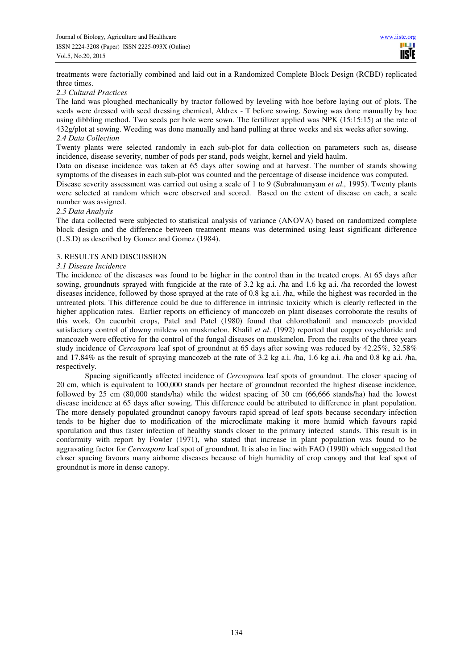treatments were factorially combined and laid out in a Randomized Complete Block Design (RCBD) replicated three times.

## *2.3 Cultural Practices*

The land was ploughed mechanically by tractor followed by leveling with hoe before laying out of plots. The seeds were dressed with seed dressing chemical, Aldrex - T before sowing. Sowing was done manually by hoe using dibbling method. Two seeds per hole were sown. The fertilizer applied was NPK (15:15:15) at the rate of 432g/plot at sowing. Weeding was done manually and hand pulling at three weeks and six weeks after sowing. *2.4 Data Collection* 

Twenty plants were selected randomly in each sub-plot for data collection on parameters such as, disease incidence, disease severity, number of pods per stand, pods weight, kernel and yield haulm.

Data on disease incidence was taken at 65 days after sowing and at harvest. The number of stands showing symptoms of the diseases in each sub-plot was counted and the percentage of disease incidence was computed.

Disease severity assessment was carried out using a scale of 1 to 9 (Subrahmanyam *et al.,* 1995). Twenty plants were selected at random which were observed and scored. Based on the extent of disease on each, a scale number was assigned.

## *2.5 Data Analysis*

The data collected were subjected to statistical analysis of variance (ANOVA) based on randomized complete block design and the difference between treatment means was determined using least significant difference (L.S.D) as described by Gomez and Gomez (1984).

## 3. RESULTS AND DISCUSSION

## *3.1 Disease Incidence*

The incidence of the diseases was found to be higher in the control than in the treated crops. At 65 days after sowing, groundnuts sprayed with fungicide at the rate of 3.2 kg a.i. /ha and 1.6 kg a.i. /ha recorded the lowest diseases incidence, followed by those sprayed at the rate of 0.8 kg a.i. /ha, while the highest was recorded in the untreated plots. This difference could be due to difference in intrinsic toxicity which is clearly reflected in the higher application rates. Earlier reports on efficiency of mancozeb on plant diseases corroborate the results of this work. On cucurbit crops, Patel and Patel (1980) found that chlorothalonil and mancozeb provided satisfactory control of downy mildew on muskmelon. Khalil *et al*. (1992) reported that copper oxychloride and mancozeb were effective for the control of the fungal diseases on muskmelon. From the results of the three years study incidence of *Cercospora* leaf spot of groundnut at 65 days after sowing was reduced by 42.25%, 32.58% and 17.84% as the result of spraying mancozeb at the rate of 3.2 kg a.i. /ha, 1.6 kg a.i. /ha and 0.8 kg a.i. /ha, respectively.

 Spacing significantly affected incidence of *Cercospora* leaf spots of groundnut. The closer spacing of 20 cm, which is equivalent to 100,000 stands per hectare of groundnut recorded the highest disease incidence, followed by 25 cm (80,000 stands/ha) while the widest spacing of 30 cm (66,666 stands/ha) had the lowest disease incidence at 65 days after sowing. This difference could be attributed to difference in plant population. The more densely populated groundnut canopy favours rapid spread of leaf spots because secondary infection tends to be higher due to modification of the microclimate making it more humid which favours rapid sporulation and thus faster infection of healthy stands closer to the primary infected stands. This result is in conformity with report by Fowler (1971), who stated that increase in plant population was found to be aggravating factor for *Cercospora* leaf spot of groundnut. It is also in line with FAO (1990) which suggested that closer spacing favours many airborne diseases because of high humidity of crop canopy and that leaf spot of groundnut is more in dense canopy.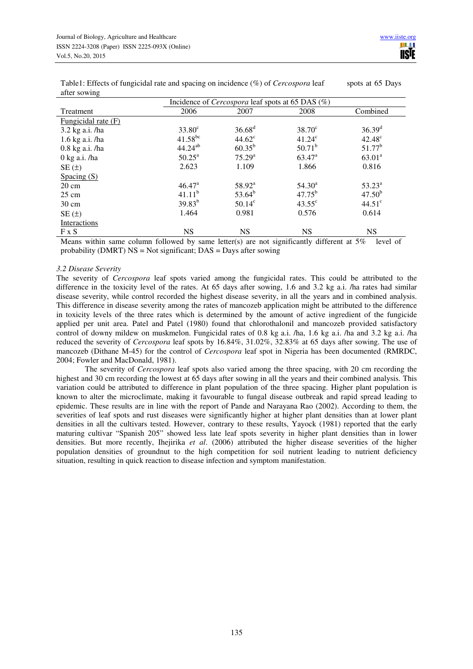|                                         | Incidence of <i>Cercospora</i> leaf spots at 65 DAS (%) |                                      |                       |                  |  |
|-----------------------------------------|---------------------------------------------------------|--------------------------------------|-----------------------|------------------|--|
| Treatment                               | 2006                                                    | 2007                                 | 2008                  | Combined         |  |
| Fungicidal rate (F)                     |                                                         |                                      |                       |                  |  |
| 3.2 kg a.i. /ha                         | $33.80^\circ$                                           | $36.68^{d}$                          | $38.70^{\circ}$       | $36.39^{d}$      |  |
| 1.6 kg a.i. /ha                         | $41.58^{bc}$                                            | $44.62^{\circ}$                      | $41.24^{\circ}$       | $42.48^{\circ}$  |  |
| $0.8$ kg a.i. /ha                       | $44.24^{ab}$                                            | $60.35^{b}$                          | $50.71^b$             | $51.77^b$        |  |
| $0$ kg a.i. /ha                         | $50.25^{\circ}$                                         | $75.29^{a}$                          | $63.47^{\rm a}$       | $63.01^a$        |  |
| $SE(\pm)$                               | 2.623                                                   | 1.109                                | 1.866                 | 0.816            |  |
| Spacing $(S)$                           |                                                         |                                      |                       |                  |  |
| $20 \text{ cm}$                         | $46.47^{\circ}$                                         | $58.92^{\rm a}$                      | $54.30^{\circ}$       | $53.23^{\rm a}$  |  |
| $25 \text{ cm}$                         | $41.11^{b}$                                             | $53.64^b$                            | $47.75^{b}$           | $47.50^{b}$      |  |
| $30 \text{ cm}$                         | $39.83^{b}$                                             | $50.14^{\circ}$                      | $43.55^{\circ}$       | $44.51^{\circ}$  |  |
| SE(t)                                   | 1.464                                                   | 0.981                                | 0.576                 | 0.614            |  |
| Interactions                            |                                                         |                                      |                       |                  |  |
| $F \times S$<br>$\cdot$ $\cdot$ $\cdot$ | <b>NS</b><br>$\sim$ $\sim$                              | <b>NS</b><br>$\sim$<br>$\sim$ $\sim$ | <b>NS</b><br>$\cdots$ | <b>NS</b><br>- - |  |

Table1: Effects of fungicidal rate and spacing on incidence (%) of *Cercospora* leaf spots at 65 Days after sowing

Means within same column followed by same letter(s) are not significantly different at 5% level of probability (DMRT) NS = Not significant; DAS = Days after sowing

## *3.2 Disease Severity*

The severity of *Cercospora* leaf spots varied among the fungicidal rates. This could be attributed to the difference in the toxicity level of the rates. At 65 days after sowing, 1.6 and 3.2 kg a.i. /ha rates had similar disease severity, while control recorded the highest disease severity, in all the years and in combined analysis. This difference in disease severity among the rates of mancozeb application might be attributed to the difference in toxicity levels of the three rates which is determined by the amount of active ingredient of the fungicide applied per unit area. Patel and Patel (1980) found that chlorothalonil and mancozeb provided satisfactory control of downy mildew on muskmelon. Fungicidal rates of 0.8 kg a.i. /ha, 1.6 kg a.i. /ha and 3.2 kg a.i. /ha reduced the severity of *Cercospora* leaf spots by 16.84%, 31.02%, 32.83% at 65 days after sowing. The use of mancozeb (Dithane M-45) for the control of *Cercospora* leaf spot in Nigeria has been documented (RMRDC, 2004; Fowler and MacDonald, 1981).

 The severity of *Cercospora* leaf spots also varied among the three spacing, with 20 cm recording the highest and 30 cm recording the lowest at 65 days after sowing in all the years and their combined analysis. This variation could be attributed to difference in plant population of the three spacing. Higher plant population is known to alter the microclimate, making it favourable to fungal disease outbreak and rapid spread leading to epidemic. These results are in line with the report of Pande and Narayana Rao (2002). According to them, the severities of leaf spots and rust diseases were significantly higher at higher plant densities than at lower plant densities in all the cultivars tested. However, contrary to these results, Yayock (1981) reported that the early maturing cultivar "Spanish 205" showed less late leaf spots severity in higher plant densities than in lower densities. But more recently, Ihejirika *et al*. (2006) attributed the higher disease severities of the higher population densities of groundnut to the high competition for soil nutrient leading to nutrient deficiency situation, resulting in quick reaction to disease infection and symptom manifestation.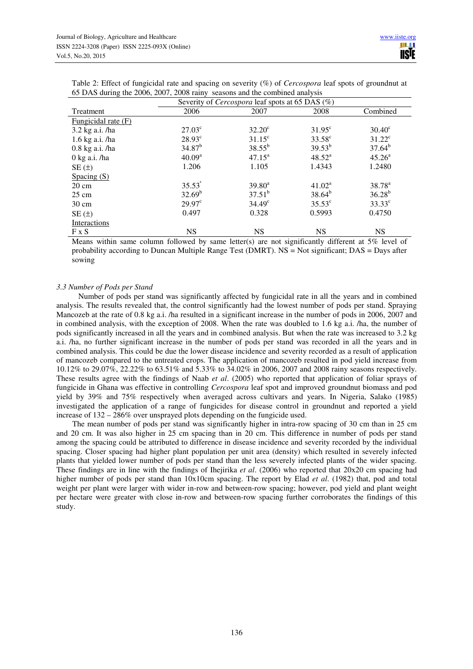| Table 2: Effect of fungicidal rate and spacing on severity $(\%)$ of <i>Cercospora</i> leaf spots of groundnut at |  |
|-------------------------------------------------------------------------------------------------------------------|--|
| 65 DAS during the 2006, 2007, 2008 rainy seasons and the combined analysis                                        |  |

|                                                                                                    | Severity of <i>Cercospora</i> leaf spots at 65 DAS (%) |                 |                    |                 |  |
|----------------------------------------------------------------------------------------------------|--------------------------------------------------------|-----------------|--------------------|-----------------|--|
| Treatment                                                                                          | 2006                                                   | 2007            | 2008               | Combined        |  |
| Fungicidal rate (F)                                                                                |                                                        |                 |                    |                 |  |
| 3.2 kg a.i. /ha                                                                                    | $27.03^{\circ}$                                        | $32.20^{\circ}$ | $31.95^{\circ}$    | $30.40^{\circ}$ |  |
| 1.6 kg a.i. /ha                                                                                    | $28.93^{\circ}$                                        | $31.15^{\circ}$ | $33.58^{\circ}$    | $31.22^{\circ}$ |  |
| $0.8$ kg a.i. /ha                                                                                  | $34.87^{b}$                                            | $38.55^{b}$     | $39.53^{b}$        | $37.64^b$       |  |
| $0 \text{ kg a.i.}/ha$                                                                             | 40.09 <sup>a</sup>                                     | $47.15^a$       | $48.52^{\rm a}$    | $45.26^a$       |  |
| SE(±)                                                                                              | 1.206                                                  | 1.105           | 1.4343             | 1.2480          |  |
| Spacing $(S)$                                                                                      |                                                        |                 |                    |                 |  |
| $20 \text{ cm}$                                                                                    | $35.53^{\degree}$                                      | $39.80^a$       | 41.02 <sup>a</sup> | $38.78^{\rm a}$ |  |
| $25 \text{ cm}$                                                                                    | $32.69^b$                                              | $37.51^b$       | $38.64^{b}$        | $36.28^{b}$     |  |
| $30 \text{ cm}$                                                                                    | $29.97^{\circ}$                                        | $34.49^{\circ}$ | $35.53^{\circ}$    | $33.33^{\circ}$ |  |
| SE(±)                                                                                              | 0.497                                                  | 0.328           | 0.5993             | 0.4750          |  |
| <b>Interactions</b>                                                                                |                                                        |                 |                    |                 |  |
| F X S                                                                                              | <b>NS</b>                                              | <b>NS</b>       | <b>NS</b>          | <b>NS</b>       |  |
| Magno within came aslumn followed by some letter(a) are not constituently different of 50 lavel of |                                                        |                 |                    |                 |  |

Means within same column followed by same letter(s) are not significantly different at  $5\%$  level of probability according to Duncan Multiple Range Test (DMRT). NS = Not significant; DAS = Days after sowing

# *3.3 Number of Pods per Stand*

 Number of pods per stand was significantly affected by fungicidal rate in all the years and in combined analysis. The results revealed that, the control significantly had the lowest number of pods per stand. Spraying Mancozeb at the rate of 0.8 kg a.i. /ha resulted in a significant increase in the number of pods in 2006, 2007 and in combined analysis, with the exception of 2008. When the rate was doubled to 1.6 kg a.i. /ha, the number of pods significantly increased in all the years and in combined analysis. But when the rate was increased to 3.2 kg a.i. /ha, no further significant increase in the number of pods per stand was recorded in all the years and in combined analysis. This could be due the lower disease incidence and severity recorded as a result of application of mancozeb compared to the untreated crops. The application of mancozeb resulted in pod yield increase from 10.12% to 29.07%, 22.22% to 63.51% and 5.33% to 34.02% in 2006, 2007 and 2008 rainy seasons respectively. These results agree with the findings of Naab *et al*. (2005) who reported that application of foliar sprays of fungicide in Ghana was effective in controlling *Cercospora* leaf spot and improved groundnut biomass and pod yield by 39% and 75% respectively when averaged across cultivars and years. In Nigeria, Salako (1985) investigated the application of a range of fungicides for disease control in groundnut and reported a yield increase of 132 – 286% over unsprayed plots depending on the fungicide used.

 The mean number of pods per stand was significantly higher in intra-row spacing of 30 cm than in 25 cm and 20 cm. It was also higher in 25 cm spacing than in 20 cm. This difference in number of pods per stand among the spacing could be attributed to difference in disease incidence and severity recorded by the individual spacing. Closer spacing had higher plant population per unit area (density) which resulted in severely infected plants that yielded lower number of pods per stand than the less severely infected plants of the wider spacing. These findings are in line with the findings of Ihejirika *et al*. (2006) who reported that 20x20 cm spacing had higher number of pods per stand than 10x10cm spacing. The report by Elad *et al*. (1982) that, pod and total weight per plant were larger with wider in-row and between-row spacing; however, pod yield and plant weight per hectare were greater with close in-row and between-row spacing further corroborates the findings of this study.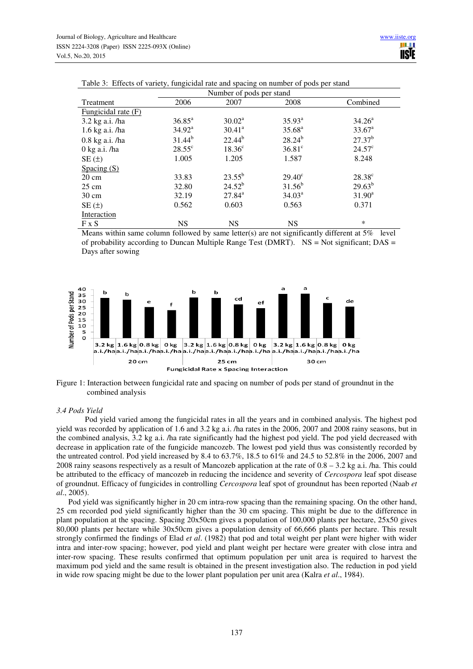|                       |                 | Number of pods per stand |                    |                 |  |  |
|-----------------------|-----------------|--------------------------|--------------------|-----------------|--|--|
| Treatment             | 2006            | 2007                     | 2008               | Combined        |  |  |
| Fungicidal rate $(F)$ |                 |                          |                    |                 |  |  |
| 3.2 kg a.i. /ha       | $36.85^{\rm a}$ | $30.02^a$                | $35.93^{a}$        | $34.26^{\circ}$ |  |  |
| 1.6 kg a.i. /ha       | $34.92^{\rm a}$ | $30.41^a$                | $35.68^{a}$        | $33.67^{\circ}$ |  |  |
| $0.8$ kg a.i. /ha     | $31.44^{b}$     | $22.44^{b}$              | $28.24^{b}$        | $27.37^{b}$     |  |  |
| $0$ kg a.i. /ha       | $28.55^{\circ}$ | $18.36^{\circ}$          | $36.81^\circ$      | $24.57^{\circ}$ |  |  |
| SE(±)                 | 1.005           | 1.205                    | 1.587              | 8.248           |  |  |
| Spacing $(S)$         |                 |                          |                    |                 |  |  |
| $20 \text{ cm}$       | 33.83           | $23.55^{b}$              | $29.40^{\circ}$    | $28.38^{\circ}$ |  |  |
| $25 \text{ cm}$       | 32.80           | $24.52^{b}$              | $31.56^{b}$        | $29.63^{b}$     |  |  |
| $30 \text{ cm}$       | 32.19           | $27.84^{\rm a}$          | 34.03 <sup>a</sup> | $31.90^a$       |  |  |
| SE(±)                 | 0.562           | 0.603                    | 0.563              | 0.371           |  |  |
| Interaction           |                 |                          |                    |                 |  |  |
| $F \times S$          | <b>NS</b>       | <b>NS</b>                | <b>NS</b>          | *               |  |  |

|  |  | Table 3: Effects of variety, fungicidal rate and spacing on number of pods per stand |  |
|--|--|--------------------------------------------------------------------------------------|--|
|  |  |                                                                                      |  |

Means within same column followed by same letter(s) are not significantly different at 5% level of probability according to Duncan Multiple Range Test (DMRT). NS = Not significant; DAS = Days after sowing



Figure 1: Interaction between fungicidal rate and spacing on number of pods per stand of groundnut in the combined analysis

## *3.4 Pods Yield*

 Pod yield varied among the fungicidal rates in all the years and in combined analysis. The highest pod yield was recorded by application of 1.6 and 3.2 kg a.i. /ha rates in the 2006, 2007 and 2008 rainy seasons, but in the combined analysis, 3.2 kg a.i. /ha rate significantly had the highest pod yield. The pod yield decreased with decrease in application rate of the fungicide mancozeb. The lowest pod yield thus was consistently recorded by the untreated control. Pod yield increased by 8.4 to 63.7%, 18.5 to 61% and 24.5 to 52.8% in the 2006, 2007 and 2008 rainy seasons respectively as a result of Mancozeb application at the rate of  $0.8 - 3.2$  kg a.i. /ha. This could be attributed to the efficacy of mancozeb in reducing the incidence and severity of *Cercospora* leaf spot disease of groundnut. Efficacy of fungicides in controlling *Cercospora* leaf spot of groundnut has been reported (Naab *et al*., 2005).

 Pod yield was significantly higher in 20 cm intra-row spacing than the remaining spacing. On the other hand, 25 cm recorded pod yield significantly higher than the 30 cm spacing. This might be due to the difference in plant population at the spacing. Spacing 20x50cm gives a population of 100,000 plants per hectare, 25x50 gives 80,000 plants per hectare while 30x50cm gives a population density of 66,666 plants per hectare. This result strongly confirmed the findings of Elad *et al*. (1982) that pod and total weight per plant were higher with wider intra and inter-row spacing; however, pod yield and plant weight per hectare were greater with close intra and inter-row spacing. These results confirmed that optimum population per unit area is required to harvest the maximum pod yield and the same result is obtained in the present investigation also. The reduction in pod yield in wide row spacing might be due to the lower plant population per unit area (Kalra *et al*., 1984).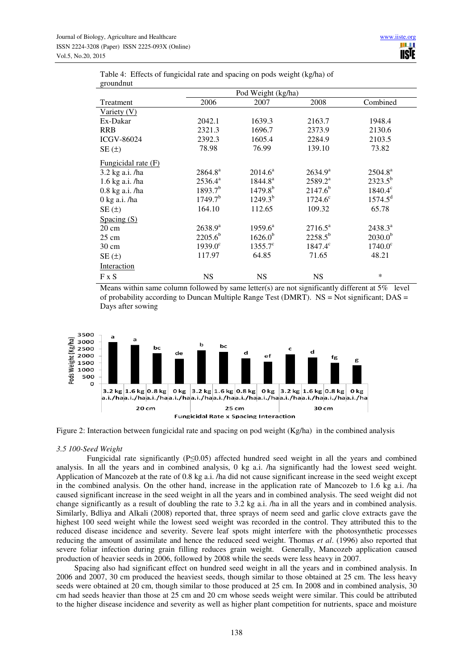| groundmut           |                     |                     |                  |                  |
|---------------------|---------------------|---------------------|------------------|------------------|
|                     |                     | Pod Weight (kg/ha)  |                  |                  |
| Treatment           | 2006                | 2007                | 2008             | Combined         |
| Variety (V)         |                     |                     |                  |                  |
| Ex-Dakar            | 2042.1              | 1639.3              | 2163.7           | 1948.4           |
| <b>RRB</b>          | 2321.3              | 1696.7              | 2373.9           | 2130.6           |
| <b>ICGV-86024</b>   | 2392.3              | 1605.4              | 2284.9           | 2103.5           |
| SE(±)               | 78.98               | 76.99               | 139.10           | 73.82            |
| Fungicidal rate (F) |                     |                     |                  |                  |
| 3.2 kg a.i. /ha     | 2864.8 <sup>a</sup> | $2014.6^{\circ}$    | $2634.9^{\rm a}$ | $2504.8^{\rm a}$ |
| 1.6 kg a.i. /ha     | $2536.4^a$          | $1844.8^{a}$        | $2589.2^a$       | $2323.5^{b}$     |
| 0.8 kg a.i. /ha     | $1893.7^{b}$        | $1479.8^{b}$        | $2147.6^{b}$     | $1840.4^{\circ}$ |
| $0$ kg a.i. /ha     | 1749.7 <sup>b</sup> | $1249.3^{b}$        | $1724.6^{\circ}$ | $1574.5^d$       |
| SE(±)               | 164.10              | 112.65              | 109.32           | 65.78            |
| Spacing $(S)$       |                     |                     |                  |                  |
| $20 \text{ cm}$     | $2638.9^{a}$        | $1959.6^{\text{a}}$ | $2716.5^a$       | $2438.3^{\circ}$ |
| $25 \text{ cm}$     | $2205.6^{b}$        | $1626.0^{b}$        | $2258.5^{b}$     | $2030.0^{b}$     |
| $30 \text{ cm}$     | $1939.0^{\circ}$    | $1355.7^{\circ}$    | $1847.4^{\circ}$ | $1740.0^{\circ}$ |
| SE(t)               | 117.97              | 64.85               | 71.65            | 48.21            |
| Interaction         |                     |                     |                  |                  |
| F X S               | <b>NS</b>           | <b>NS</b>           | <b>NS</b>        | $\ast$           |

Table 4: Effects of fungicidal rate and spacing on pods weight (kg/ha) of groundnut

Means within same column followed by same letter(s) are not significantly different at 5% level of probability according to Duncan Multiple Range Test (DMRT). NS = Not significant; DAS = Days after sowing



Figure 2: Interaction between fungicidal rate and spacing on pod weight (Kg/ha) in the combined analysis

## *3.5 100-Seed Weight*

 Fungicidal rate significantly (P≤0.05) affected hundred seed weight in all the years and combined analysis. In all the years and in combined analysis, 0 kg a.i. /ha significantly had the lowest seed weight. Application of Mancozeb at the rate of 0.8 kg a.i. /ha did not cause significant increase in the seed weight except in the combined analysis. On the other hand, increase in the application rate of Mancozeb to 1.6 kg a.i. /ha caused significant increase in the seed weight in all the years and in combined analysis. The seed weight did not change significantly as a result of doubling the rate to 3.2 kg a.i. /ha in all the years and in combined analysis. Similarly, Bdliya and Alkali (2008) reported that, three sprays of neem seed and garlic clove extracts gave the highest 100 seed weight while the lowest seed weight was recorded in the control. They attributed this to the reduced disease incidence and severity. Severe leaf spots might interfere with the photosynthetic processes reducing the amount of assimilate and hence the reduced seed weight. Thomas *et al*. (1996) also reported that severe foliar infection during grain filling reduces grain weight. Generally, Mancozeb application caused production of heavier seeds in 2006, followed by 2008 while the seeds were less heavy in 2007.

 Spacing also had significant effect on hundred seed weight in all the years and in combined analysis. In 2006 and 2007, 30 cm produced the heaviest seeds, though similar to those obtained at 25 cm. The less heavy seeds were obtained at 20 cm, though similar to those produced at 25 cm. In 2008 and in combined analysis, 30 cm had seeds heavier than those at 25 cm and 20 cm whose seeds weight were similar. This could be attributed to the higher disease incidence and severity as well as higher plant competition for nutrients, space and moisture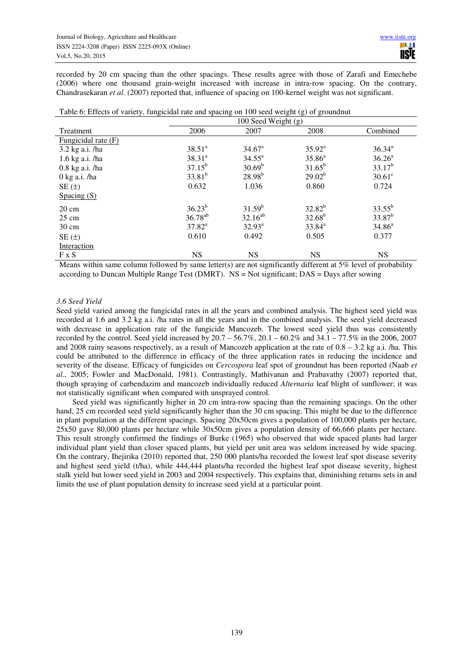recorded by 20 cm spacing than the other spacings. These results agree with those of Zarafi and Emechebe (2006) where one thousand grain-weight increased with increase in intra-row spacing. On the contrary, Chandrasekaran *et al*. (2007) reported that, influence of spacing on 100-kernel weight was not significant.

| Table 6: Effects of variety, fungicidal rate and spacing on 100 seed weight (g) of groundnut |  |
|----------------------------------------------------------------------------------------------|--|
|----------------------------------------------------------------------------------------------|--|

|                               | 100 Seed Weight $(g)$ |                 |             |                    |  |
|-------------------------------|-----------------------|-----------------|-------------|--------------------|--|
| Treatment                     | 2006                  | 2007            | 2008        | Combined           |  |
| Fungicidal rate (F)           |                       |                 |             |                    |  |
| 3.2 kg a.i. /ha               | $38.51^a$             | $34.67^{\circ}$ | $35.92^a$   | $36.34^{a}$        |  |
| 1.6 kg a.i. /ha               | $38.31^{a}$           | $34.55^{\circ}$ | $35.86^{a}$ | 36.26 <sup>a</sup> |  |
| $0.8$ kg a.i. /ha             | $37.15^{b}$           | $30.69^b$       | $31.65^b$   | $33.17^{b}$        |  |
| $0 \text{ kg a.i.}/\text{ha}$ | $33.81^{b}$           | $28.98^{b}$     | $29.02^{b}$ | $30.61^\circ$      |  |
| $SE(\pm)$                     | 0.632                 | 1.036           | 0.860       | 0.724              |  |
| Spacing $(S)$                 |                       |                 |             |                    |  |
| $20 \text{ cm}$               | $36.23^{b}$           | $31.59^{b}$     | $32.82^{b}$ | $33.55^{b}$        |  |
| $25 \text{ cm}$               | $36.78^{ab}$          | $32.16^{ab}$    | $32.68^{b}$ | $33.87^b$          |  |
| $30 \text{ cm}$               | $37.82^a$             | $32.93^a$       | $33.84^{a}$ | $34.86^a$          |  |
| $SE(\pm)$                     | 0.610                 | 0.492           | 0.505       | 0.377              |  |
| Interaction                   |                       |                 |             |                    |  |
| $F \times S$                  | <b>NS</b>             | <b>NS</b>       | NS          | NS                 |  |

Means within same column followed by same letter(s) are not significantly different at 5% level of probability according to Duncan Multiple Range Test (DMRT). NS = Not significant; DAS = Days after sowing

## *3.6 Seed Yield*

Seed yield varied among the fungicidal rates in all the years and combined analysis. The highest seed yield was recorded at 1.6 and 3.2 kg a.i. /ha rates in all the years and in the combined analysis. The seed yield decreased with decrease in application rate of the fungicide Mancozeb. The lowest seed yield thus was consistently recorded by the control. Seed yield increased by 20.7 – 56.7%, 20.1 – 60.2% and 34.1 – 77.5% in the 2006, 2007 and 2008 rainy seasons respectively, as a result of Mancozeb application at the rate of 0.8 – 3.2 kg a.i. /ha. This could be attributed to the difference in efficacy of the three application rates in reducing the incidence and severity of the disease. Efficacy of fungicides on *Cercospora* leaf spot of groundnut has been reported (Naab *et al*., 2005; Fowler and MacDonald, 1981). Contrastingly, Mathivanan and Prabavathy (2007) reported that, though spraying of carbendazim and mancozeb individually reduced *Alternaria* leaf blight of sunflower; it was not statistically significant when compared with unsprayed control.

 Seed yield was significantly higher in 20 cm intra-row spacing than the remaining spacings. On the other hand, 25 cm recorded seed yield significantly higher than the 30 cm spacing. This might be due to the difference in plant population at the different spacings. Spacing 20x50cm gives a population of 100,000 plants per hectare, 25x50 gave 80,000 plants per hectare while 30x50cm gives a population density of 66,666 plants per hectare. This result strongly confirmed the findings of Burke (1965) who observed that wide spaced plants had larger individual plant yield than closer spaced plants, but yield per unit area was seldom increased by wide spacing. On the contrary, Ihejirika (2010) reported that, 250 000 plants/ha recorded the lowest leaf spot disease severity and highest seed yield (t/ha), while 444,444 plants/ha recorded the highest leaf spot disease severity, highest stalk yield but lower seed yield in 2003 and 2004 respectively. This explains that, diminishing returns sets in and limits the use of plant population density to increase seed yield at a particular point.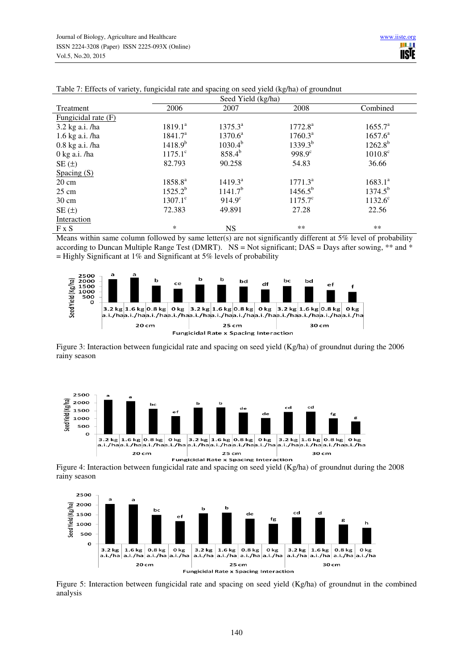|                        | Seed Yield (kg/ha)  |                     |                  |                     |  |
|------------------------|---------------------|---------------------|------------------|---------------------|--|
| Treatment              | 2006                | 2007                | 2008             | Combined            |  |
| Fungicidal rate $(F)$  |                     |                     |                  |                     |  |
| 3.2 kg a.i. /ha        | $1819.1^a$          | $1375.3^a$          | $1772.8^a$       | 1655.7 <sup>a</sup> |  |
| 1.6 kg a.i. /ha        | $1841.7^{\circ}$    | $1370.6^a$          | $1760.3^a$       | $1657.6^a$          |  |
| $0.8$ kg a.i. /ha      | $1418.9^{b}$        | $1030.4^{b}$        | $1339.3^{b}$     | $1262.8^{b}$        |  |
| $0 \text{ kg a.i.}/ha$ | $1175.1^{\circ}$    | $858.4^{b}$         | $998.9^{\circ}$  | $1010.8^{\circ}$    |  |
| $SE(\pm)$              | 82.793              | 90.258              | 54.83            | 36.66               |  |
| Spacing $(S)$          |                     |                     |                  |                     |  |
| $20 \text{ cm}$        | 1858.8 <sup>a</sup> | $1419.3^a$          | $1771.3^a$       | $1683.1^{a}$        |  |
| $25 \text{ cm}$        | $1525.2^{b}$        | 1141.7 <sup>b</sup> | $1456.5^{b}$     | $1374.5^{b}$        |  |
| $30 \text{ cm}$        | $1307.1^{\circ}$    | $914.9^{\circ}$     | $1175.7^{\circ}$ | $1132.6^{\circ}$    |  |
| $SE(\pm)$              | 72.383              | 49.891              | 27.28            | 22.56               |  |
| Interaction            |                     |                     |                  |                     |  |
| $F \times S$           | *                   | <b>NS</b>           | **               | **                  |  |

| Table 7: Effects of variety, fungicidal rate and spacing on seed yield (kg/ha) of groundnut |  |
|---------------------------------------------------------------------------------------------|--|
|                                                                                             |  |

Means within same column followed by same letter(s) are not significantly different at 5% level of probability according to Duncan Multiple Range Test (DMRT). NS = Not significant; DAS = Days after sowing, \*\* and \*  $=$  Highly Significant at 1% and Significant at 5% levels of probability



Figure 3: Interaction between fungicidal rate and spacing on seed yield (Kg/ha) of groundnut during the 2006 rainy season



Figure 4: Interaction between fungicidal rate and spacing on seed yield (Kg/ha) of groundnut during the 2008 rainy season



Figure 5: Interaction between fungicidal rate and spacing on seed yield (Kg/ha) of groundnut in the combined analysis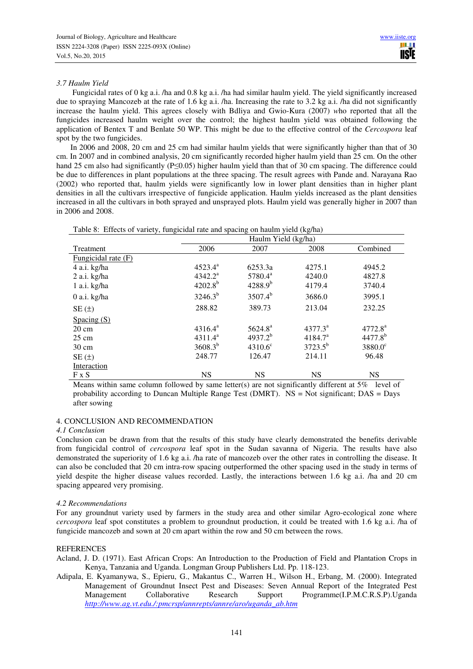# *3.7 Haulm Yield*

 Fungicidal rates of 0 kg a.i. /ha and 0.8 kg a.i. /ha had similar haulm yield. The yield significantly increased due to spraying Mancozeb at the rate of 1.6 kg a.i. /ha. Increasing the rate to 3.2 kg a.i. /ha did not significantly increase the haulm yield. This agrees closely with Bdliya and Gwio-Kura (2007) *w*ho reported that all the fungicides increased haulm weight over the control; the highest haulm yield was obtained following the application of Bentex T and Benlate 50 WP. This might be due to the effective control of the *Cercospora* leaf spot by the two fungicides.

 In 2006 and 2008, 20 cm and 25 cm had similar haulm yields that were significantly higher than that of 30 cm. In 2007 and in combined analysis, 20 cm significantly recorded higher haulm yield than 25 cm. On the other hand 25 cm also had significantly (P≤0.05) higher haulm yield than that of 30 cm spacing. The difference could be due to differences in plant populations at the three spacing. The result agrees with Pande and. Narayana Rao (2002) who reported that, haulm yields were significantly low in lower plant densities than in higher plant densities in all the cultivars irrespective of fungicide application. Haulm yields increased as the plant densities increased in all the cultivars in both sprayed and unsprayed plots. Haulm yield was generally higher in 2007 than in 2006 and 2008.

| Table 8: Effects of variety, fungicidal rate and spacing on haulm yield (kg/ha) |                     |                     |                     |                     |  |  |
|---------------------------------------------------------------------------------|---------------------|---------------------|---------------------|---------------------|--|--|
|                                                                                 | Haulm Yield (kg/ha) |                     |                     |                     |  |  |
| <b>Treatment</b>                                                                | 2006                | 2007                | 2008                | Combined            |  |  |
| Fungicidal rate (F)                                                             |                     |                     |                     |                     |  |  |
| 4 a.i. kg/ha                                                                    | $4523.4^{\circ}$    | 6253.3a             | 4275.1              | 4945.2              |  |  |
| $2$ a.i. kg/ha                                                                  | $4342.2^{\rm a}$    | 5780.4 <sup>a</sup> | 4240.0              | 4827.8              |  |  |
| 1 a.i. kg/ha                                                                    | $4202.8^{b}$        | $4288.9^{b}$        | 4179.4              | 3740.4              |  |  |
| $0$ a.i. kg/ha                                                                  | $3246.3^{b}$        | $3507.4^{b}$        | 3686.0              | 3995.1              |  |  |
| SE(t)                                                                           | 288.82              | 389.73              | 213.04              | 232.25              |  |  |
| Spacing $(S)$                                                                   |                     |                     |                     |                     |  |  |
| $20 \text{ cm}$                                                                 | $4316.4^a$          | $5624.8^{\circ}$    | $4377.3^{\circ}$    | 4772.8 <sup>a</sup> |  |  |
| $25 \text{ cm}$                                                                 | $4311.4^a$          | $4937.2^{b}$        | 4184.7 <sup>a</sup> | $4477.8^{b}$        |  |  |
| $30 \text{ cm}$                                                                 | $3608.3^{b}$        | $4310.6^{\circ}$    | $3723.5^{b}$        | $3880.0^{\circ}$    |  |  |
| SE(±)                                                                           | 248.77              | 126.47              | 214.11              | 96.48               |  |  |

F x S NS NS NS NS NS NS Means within same column followed by same letter(s) are not significantly different at 5% level of probability according to Duncan Multiple Range Test (DMRT).  $NS = Not$  significant; DAS = Days after sowing

## 4. CONCLUSION AND RECOMMENDATION

## *4.1 Conclusion*

Interaction

Conclusion can be drawn from that the results of this study have clearly demonstrated the benefits derivable from fungicidal control of *cercospora* leaf spot in the Sudan savanna of Nigeria. The results have also demonstrated the superiority of 1.6 kg a.i. /ha rate of mancozeb over the other rates in controlling the disease. It can also be concluded that 20 cm intra-row spacing outperformed the other spacing used in the study in terms of yield despite the higher disease values recorded. Lastly, the interactions between 1.6 kg a.i. /ha and 20 cm spacing appeared very promising.

# *4.2 Recommendations*

For any groundnut variety used by farmers in the study area and other similar Agro-ecological zone where *cercospora* leaf spot constitutes a problem to groundnut production, it could be treated with 1.6 kg a.i. /ha of fungicide mancozeb and sown at 20 cm apart within the row and 50 cm between the rows.

# REFERENCES

- Acland, J. D. (1971). East African Crops: An Introduction to the Production of Field and Plantation Crops in Kenya, Tanzania and Uganda. Longman Group Publishers Ltd. Pp. 118-123.
- Adipala, E. Kyamanywa, S., Epieru, G., Makantus C., Warren H., Wilson H., Erbang, M. (2000). Integrated Management of Groundnut Insect Pest and Diseases: Seven Annual Report of the Integrated Pest Management Collaborative Research Support Programme(I.P.M.C.R.S.P).Uganda *http://www.ag.vt.edu./:pmcrsp/annrepts/annre/aro/uganda\_ab.htm*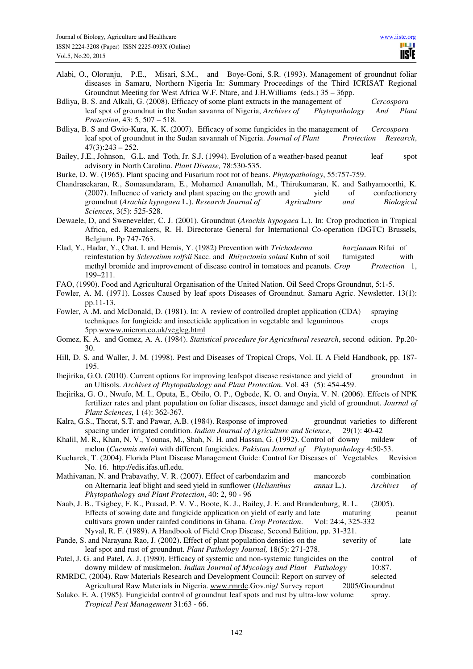- Alabi, O., Olorunju, P.E., Misari, S.M., and Boye-Goni, S.R. (1993). Management of groundnut foliar diseases in Samaru, Northern Nigeria In: Summary Proceedings of the Third ICRISAT Regional Groundnut Meeting for West Africa W.F. Ntare, and J.H.Williams (eds.) 35 – 36pp.
- Bdliya, B. S. and Alkali, G. (2008). Efficacy of some plant extracts in the management of *Cercospora* leaf spot of groundnut in the Sudan savanna of Nigeria, *Archives of Phytopathology And Plant Protection*, 43: 5, 507 – 518.
- Bdliya, B. S and Gwio-Kura, K. K. (2007). Efficacy of some fungicides in the management of *Cercospora* leaf spot of groundnut in the Sudan savannah of Nigeria. *Journal of Plant Protection Research*,  $47(3):243 - 252.$
- Bailey, J.E., Johnson, G.L. and Toth, Jr. S.J. (1994). Evolution of a weather-based peanut leaf spot advisory in North Carolina. *Plant Disease,* 78:530-535.

Burke, D. W. (1965). Plant spacing and Fusarium root rot of beans. *Phytopathology*, 55:757-759.

- Chandrasekaran, R., Somasundaram, E., Mohamed Amanullah, M., Thirukumaran, K. and Sathyamoorthi, K. (2007). Influence of variety and plant spacing on the growth and yield of confectionery groundnut (*Arachis hypogaea* L*.*). *Research Journal of Agriculture and Biological Sciences*, 3(5): 525-528.
- Dewaele, D, and Swenevelder, C. J. (2001). Groundnut (*Arachis hypogaea* L.). In: Crop production in Tropical Africa, ed. Raemakers, R. H. Directorate General for International Co-operation (DGTC) Brussels, Belgium. Pp 747-763.
- Elad, Y., Hadar, Y., Chat, I. and Hemis, Y. (1982) Prevention with *Trichoderma harzianum* Rifai of reinfestation by *Sclerotium rolfsii* Sacc. and *Rhizoctonia solani* Kuhn of soil fumigated with methyl bromide and improvement of disease control in tomatoes and peanuts. *Crop Protection* 1, 199–211.
- FAO, (1990). Food and Agricultural Organisation of the United Nation. Oil Seed Crops Groundnut, 5:1-5.
- Fowler, A. M. (1971). Losses Caused by leaf spots Diseases of Groundnut. Samaru Agric. Newsletter. 13(1): pp.11-13.
- Fowler, A .M. and McDonald, D. (1981). In: A review of controlled droplet application (CDA) spraying techniques for fungicide and insecticide application in vegetable and leguminous crops 5pp.wwww.micron.co.uk/vegleg.html
- Gomez, K. A. and Gomez, A. A. (1984). *Statistical procedure for Agricultural research*, second edition. Pp.20- 30.
- Hill, D. S. and Waller, J. M. (1998). Pest and Diseases of Tropical Crops, Vol. II. A Field Handbook, pp. 187- 195.
- Ihejirika, G.O. (2010). Current options for improving leafspot disease resistance and yield of groundnut in an Ultisols. *Archives of Phytopathology and Plant Protection*. Vol. 43 (5): 454-459.
- Ihejirika, G. O., Nwufo, M. I., Oputa, E., Obilo, O. P., Ogbede, K. O. and Onyia, V. N. (2006). Effects of NPK fertilizer rates and plant population on foliar diseases, insect damage and yield of groundnut. *Journal of Plant Sciences*, 1 (4): 362-367.
- Kalra, G.S., Thorat, S.T. and Pawar, A.B. (1984). Response of improved groundnut varieties to different spacing under irrigated condition. *Indian Journal of Agriculture and Science*, 29(1): 40-42
- Khalil, M. R., Khan, N. V., Younas, M., Shah, N. H. and Hassan, G. (1992). Control of downy mildew of melon (*Cucumis melo*) with different fungicides. *Pakistan Journal of Phytopathology* 4:50-53.

Kucharek, T. (2004). Florida Plant Disease Management Guide: Control for Diseases of Vegetables Revision No. 16. http://edis.ifas.ufl.edu.

- Mathivanan, N. and Prabavathy, V. R. (2007). Effect of carbendazim and mancozeb combination on Alternaria leaf blight and seed yield in sunflower (*Helianthus annus* L.). *Archives of Phytopathology and Plant Protection*, 40: 2, 90 - 96
- Naab, J. B., Tsigbey, F. K., Prasad, P. V. V., Boote, K. J., Bailey, J. E. and Brandenburg, R. L. (2005). Effects of sowing date and fungicide application on yield of early and late maturing peanut cultivars grown under rainfed conditions in Ghana. *Crop Protection*. Vol: 24:4, 325-332 Nyval, R. F. (1989). A Handbook of Field Crop Disease, Second Edition, pp. 31-321.
- Pande, S. and Narayana Rao, J. (2002). Effect of plant population densities on the severity of late leaf spot and rust of groundnut. *Plant Pathology Journal,* 18(5): 271-278.
- Patel, J. G. and Patel, A. J. (1980). Efficacy of systemic and non-systemic fungicides on the control of downy mildew of muskmelon. *Indian Journal of Mycology and Plant Pathology* 10:87.
- RMRDC, (2004). Raw Materials Research and Development Council: Report on survey of selected Agricultural Raw Materials in Nigeria. www.rmrdc.Gov.nig/ Survey report 2005/Groundnut
- Salako. E. A. (1985). Fungicidal control of groundnut leaf spots and rust by ultra-low volume spray. *Tropical Pest Management* 31:63 - 66.